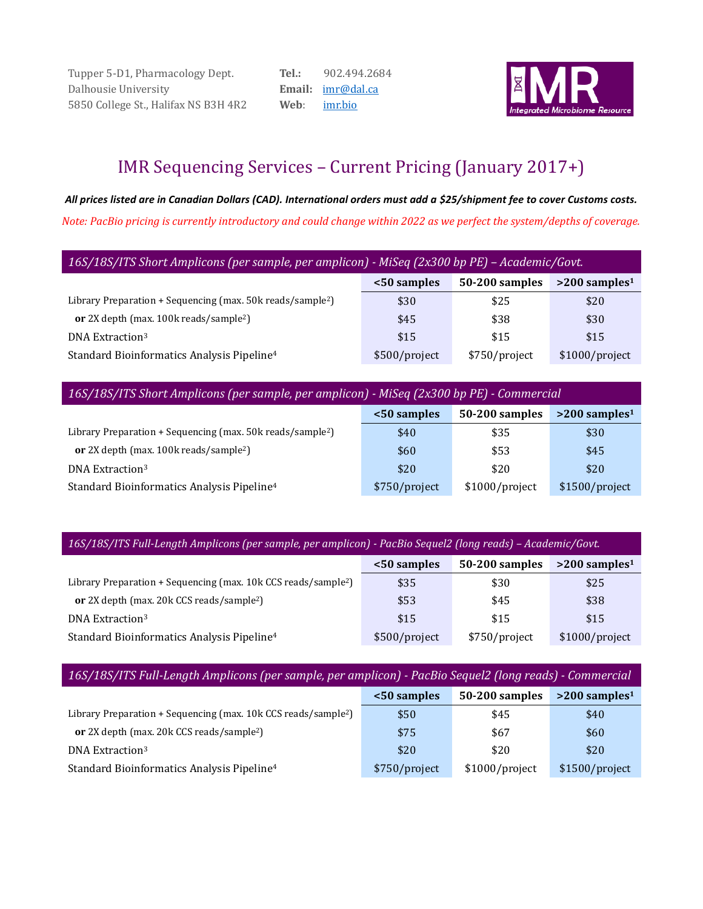Tupper 5-D1, Pharmacology Dept. Dalhousie University 5850 College St., Halifax NS B3H 4R2 **Tel.:** 902.494.2684 **Email:** [imr@dal.ca](mailto:imr@dal.ca) **Web**: [imr.bio](http://www.imr.bio/)



# IMR Sequencing Services – Current Pricing (January 2017+)

*All prices listed are in Canadian Dollars (CAD). International orders must add a \$25/shipment fee to cover Customs costs. Note: PacBio pricing is currently introductory and could change within 2022 as we perfect the system/depths of coverage.*

| 16S/18S/ITS Short Amplicons (per sample, per amplicon) - MiSeq (2x300 bp PE) – Academic/Govt.              |                                                              |      |      |  |  |  |  |
|------------------------------------------------------------------------------------------------------------|--------------------------------------------------------------|------|------|--|--|--|--|
|                                                                                                            | 50-200 samples<br>$>200$ samples <sup>1</sup><br><50 samples |      |      |  |  |  |  |
| Library Preparation + Sequencing (max. $50k$ reads/sample <sup>2</sup> )                                   | \$30                                                         | \$25 | \$20 |  |  |  |  |
| or 2X depth (max. 100k reads/sample <sup>2</sup> )                                                         | \$45                                                         | \$38 | \$30 |  |  |  |  |
| DNA Extraction <sup>3</sup>                                                                                | \$15                                                         | \$15 | \$15 |  |  |  |  |
| Standard Bioinformatics Analysis Pipeline <sup>4</sup><br>\$750/project<br>\$1000/project<br>\$500/project |                                                              |      |      |  |  |  |  |

*16S/18S/ITS Short Amplicons (per sample, per amplicon) - MiSeq (2x300 bp PE) - Commercial*

|                                                                        | <50 samples   | 50-200 samples | $>200$ samples <sup>1</sup> |
|------------------------------------------------------------------------|---------------|----------------|-----------------------------|
| Library Preparation + Sequencing (max. 50k reads/sample <sup>2</sup> ) | \$40          | \$35           | \$30                        |
| or 2X depth (max. 100k reads/sample <sup>2</sup> )                     | \$60          | \$53           | \$45                        |
| DNA Extraction <sup>3</sup>                                            | \$20          | \$20           | \$20                        |
| Standard Bioinformatics Analysis Pipeline <sup>4</sup>                 | \$750/project | \$1000/project | \$1500/project              |

*16S/18S/ITS Full-Length Amplicons (per sample, per amplicon) - PacBio Sequel2 (long reads) – Academic/Govt.*

|                                                                            | <50 samples   | 50-200 samples | $>200$ samples <sup>1</sup> |
|----------------------------------------------------------------------------|---------------|----------------|-----------------------------|
| Library Preparation + Sequencing (max. 10k CCS reads/sample <sup>2</sup> ) | \$35          | \$30           | \$25                        |
| <b>or</b> 2X depth (max. 20k CCS reads/sample <sup>2</sup> )               | \$53          | \$45           | \$38                        |
| DNA Extraction <sup>3</sup>                                                | \$15          | \$15           | \$15                        |
| Standard Bioinformatics Analysis Pipeline <sup>4</sup>                     | \$500/project | \$750/project  | \$1000/project              |

| 16S/18S/ITS Full-Length Amplicons (per sample, per amplicon) - PacBio Sequel2 (long reads) - Commercial     |                                                              |      |      |  |  |  |  |
|-------------------------------------------------------------------------------------------------------------|--------------------------------------------------------------|------|------|--|--|--|--|
|                                                                                                             | 50-200 samples<br>$>200$ samples <sup>1</sup><br><50 samples |      |      |  |  |  |  |
| Library Preparation + Sequencing (max. 10k CCS reads/sample <sup>2</sup> )                                  | \$50                                                         | \$45 | \$40 |  |  |  |  |
| or 2X depth (max. 20k CCS reads/sample <sup>2</sup> )                                                       | \$75                                                         | \$67 | \$60 |  |  |  |  |
| DNA Extraction <sup>3</sup>                                                                                 | \$20                                                         | \$20 | \$20 |  |  |  |  |
| Standard Bioinformatics Analysis Pipeline <sup>4</sup><br>\$1000/project<br>\$1500/project<br>\$750/project |                                                              |      |      |  |  |  |  |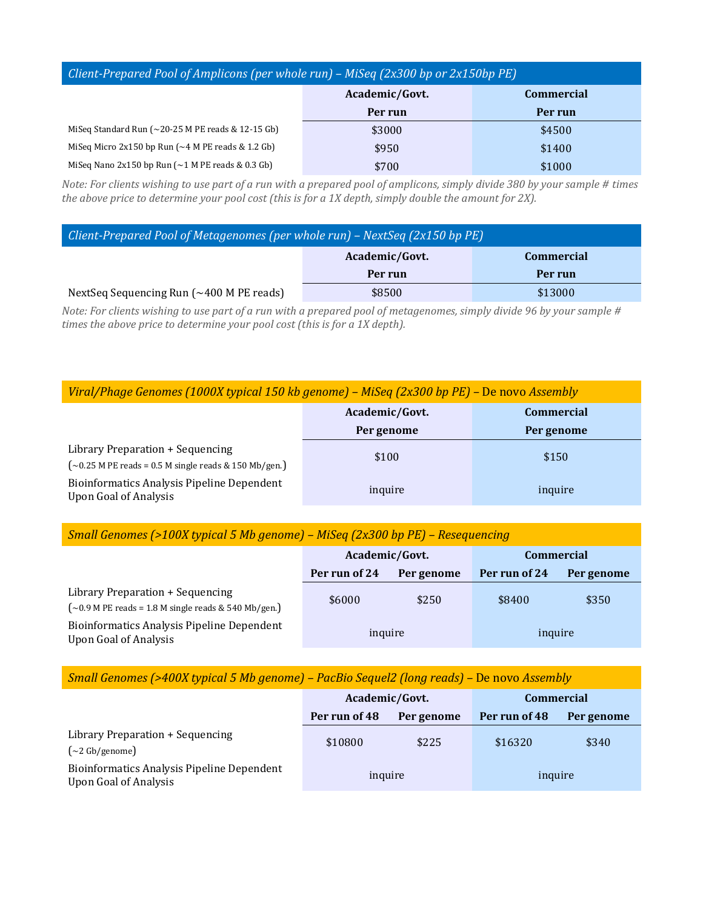### *Client-Prepared Pool of Amplicons (per whole run) – MiSeq (2x300 bp or 2x150bp PE)*

|                                                                  | Academic/Govt. | <b>Commercial</b> |
|------------------------------------------------------------------|----------------|-------------------|
|                                                                  | Per run        | Per run           |
| MiSeq Standard Run $(\sim 20-25$ M PE reads & 12-15 Gb)          | \$3000         | \$4500            |
| Miseq Micro $2x150$ bp Run $\sim$ 4 M PE reads & 1.2 Gb)         | \$950          | \$1400            |
| MiSeq Nano 2x150 bp Run $\left(\sim\right)$ M PE reads & 0.3 Gb) | \$700          | \$1000            |

*Note: For clients wishing to use part of a run with a prepared pool of amplicons, simply divide 380 by your sample # times the above price to determine your pool cost (this is for a 1X depth, simply double the amount for 2X).*

| Client-Prepared Pool of Metagenomes (per whole run) – NextSeq $(2x150$ bp PE) |                |                   |  |
|-------------------------------------------------------------------------------|----------------|-------------------|--|
|                                                                               | Academic/Govt. | <b>Commercial</b> |  |
|                                                                               | Per run        | Per run           |  |
| NextSeq Sequencing Run $(\sim 400$ M PE reads)                                | \$8500         | \$13000           |  |

*Note: For clients wishing to use part of a run with a prepared pool of metagenomes, simply divide 96 by your sample # times the above price to determine your pool cost (this is for a 1X depth).*

|                                                                                                | Academic/Govt. | <b>Commercial</b> |
|------------------------------------------------------------------------------------------------|----------------|-------------------|
|                                                                                                | Per genome     | Per genome        |
| Library Preparation + Sequencing<br>$\sim$ 0.25 M PE reads = 0.5 M single reads & 150 Mb/gen.) | \$100          | \$150             |
| <b>Bioinformatics Analysis Pipeline Dependent</b><br><b>Upon Goal of Analysis</b>              | inquire        | inquire           |

#### *Small Genomes (>100X typical 5 Mb genome) – MiSeq (2x300 bp PE) – Resequencing*

|                                                                                               | Academic/Govt. |            | <b>Commercial</b> |            |
|-----------------------------------------------------------------------------------------------|----------------|------------|-------------------|------------|
|                                                                                               | Per run of 24  | Per genome | Per run of 24     | Per genome |
| Library Preparation + Sequencing<br>$\sim 0.9$ M PE reads = 1.8 M single reads & 540 Mb/gen.) | \$6000         | \$250      | \$8400            | \$350      |
| <b>Bioinformatics Analysis Pipeline Dependent</b><br><b>Upon Goal of Analysis</b>             | inquire        |            | inquire           |            |

#### *Small Genomes (>400X typical 5 Mb genome) – PacBio Sequel2 (long reads) –* De novo *Assembly*

|                                                                                   | Academic/Govt. |            | <b>Commercial</b> |            |
|-----------------------------------------------------------------------------------|----------------|------------|-------------------|------------|
|                                                                                   | Per run of 48  | Per genome | Per run of 48     | Per genome |
| Library Preparation + Sequencing<br>$\left(\sim\!2\,\text{Gb/genome}\right)$      | \$10800        | \$225      | \$16320           | \$340      |
| <b>Bioinformatics Analysis Pipeline Dependent</b><br><b>Upon Goal of Analysis</b> | inquire        |            | inquire           |            |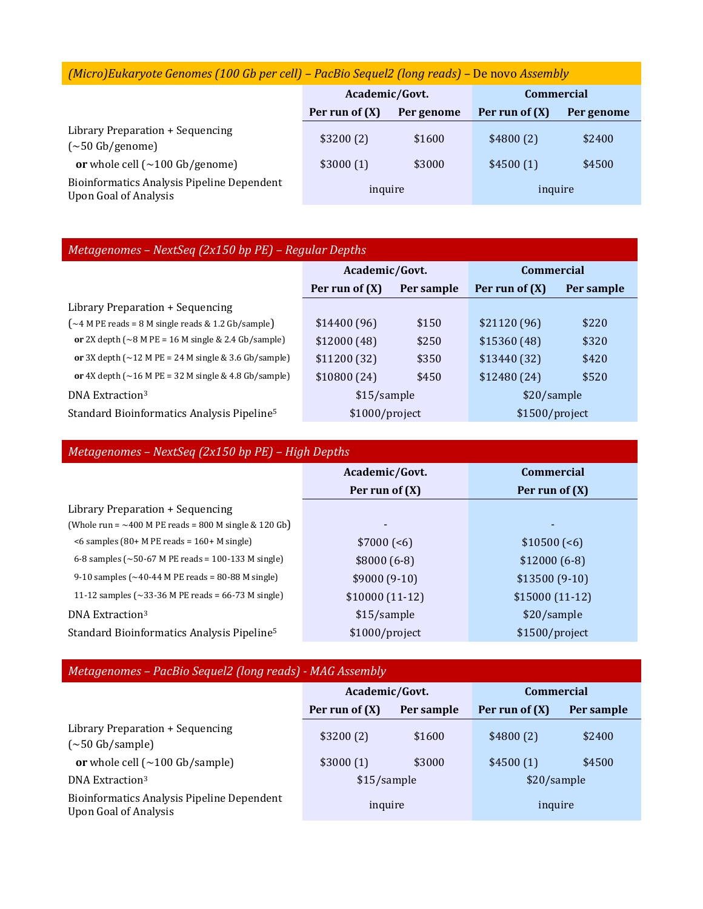## *(Micro)Eukaryote Genomes (100 Gb per cell) – PacBio Sequel2 (long reads) –* De novo *Assembly*

|                                                                                   | Academic/Govt.   |            | <b>Commercial</b> |            |
|-----------------------------------------------------------------------------------|------------------|------------|-------------------|------------|
|                                                                                   | Per run of $(X)$ | Per genome | Per run of (X)    | Per genome |
| Library Preparation + Sequencing<br>$(\sim 50 \text{ Gb/genome})$                 | \$3200(2)        | \$1600     | \$4800(2)         | \$2400     |
| or whole cell $(\sim 100 \text{ Gb/genome})$                                      | \$3000(1)        | \$3000     | \$4500(1)         | \$4500     |
| <b>Bioinformatics Analysis Pipeline Dependent</b><br><b>Upon Goal of Analysis</b> | inquire          |            | inquire           |            |

### *Metagenomes – NextSeq (2x150 bp PE) – Regular Depths*

|                                                                                     | Academic/Govt.   |            | <b>Commercial</b> |            |
|-------------------------------------------------------------------------------------|------------------|------------|-------------------|------------|
|                                                                                     | Per run of $(X)$ | Per sample | Per run of $(X)$  | Per sample |
| Library Preparation + Sequencing                                                    |                  |            |                   |            |
| $\sim$ 4 M PE reads = 8 M single reads & 1.2 Gb/sample)                             | \$14400(96)      | \$150      | \$21120(96)       | \$220      |
| or 2X depth $({\sim}8$ M PE = 16 M single & 2.4 Gb/sample)                          | \$12000(48)      | \$250      | \$15360(48)       | \$320      |
| or 3X depth $(\sim 12 \text{ M PE} = 24 \text{ M single} \& 3.6 \text{ Gb/sample})$ | \$11200(32)      | \$350      | \$13440(32)       | \$420      |
| or 4X depth $(\sim 16$ M PE = 32 M single & 4.8 Gb/sample)                          | \$10800(24)      | \$450      | \$12480(24)       | \$520      |
| DNA Extraction <sup>3</sup>                                                         | \$15/sample      |            | \$20/sample       |            |
| Standard Bioinformatics Analysis Pipeline <sup>5</sup>                              | \$1000/project   |            | \$1500/project    |            |

| Metagenomes - NextSeq (2x150 bp PE) - High Depths           |                  |                   |  |  |
|-------------------------------------------------------------|------------------|-------------------|--|--|
|                                                             | Academic/Govt.   | <b>Commercial</b> |  |  |
|                                                             | Per run of $(X)$ | Per run of $(X)$  |  |  |
| Library Preparation + Sequencing                            |                  |                   |  |  |
| (Whole run = $\sim$ 400 M PE reads = 800 M single & 120 Gb) |                  |                   |  |  |
| $\leq 6$ samples (80+ M PE reads = 160+ M single)           | $$7000 (-6)$     | $$10500 (-6)$     |  |  |
| 6-8 samples ( $\sim$ 50-67 M PE reads = 100-133 M single)   | $$8000(6-8)$     | $$12000(6-8)$     |  |  |
| 9-10 samples $({\sim}40$ -44 M PE reads = 80-88 M single)   | $$9000(9-10)$    | $$13500(9-10)$    |  |  |
| 11-12 samples ( $\sim$ 33-36 M PE reads = 66-73 M single)   | $$10000(11-12)$  | $$15000(11-12)$   |  |  |
| DNA Extraction <sup>3</sup>                                 | \$15/sample      | \$20/sample       |  |  |
| Standard Bioinformatics Analysis Pipeline <sup>5</sup>      | \$1000/project   | \$1500/project    |  |  |

### *Metagenomes – PacBio Sequel2 (long reads) - MAG Assembly*

|                                                                                   | Academic/Govt.   |            | <b>Commercial</b> |            |
|-----------------------------------------------------------------------------------|------------------|------------|-------------------|------------|
|                                                                                   | Per run of $(X)$ | Per sample | Per run of $(X)$  | Per sample |
| Library Preparation + Sequencing<br>$(\sim]50$ Gb/sample)                         | \$3200(2)        | \$1600     | \$4800(2)         | \$2400     |
| or whole cell $(\sim 100 \text{ Gb/sample})$                                      | \$3000(1)        | \$3000     | \$4500(1)         | \$4500     |
| DNA Extraction <sup>3</sup>                                                       | \$15/sample      |            | \$20/sample       |            |
| <b>Bioinformatics Analysis Pipeline Dependent</b><br><b>Upon Goal of Analysis</b> | inquire          |            | inquire           |            |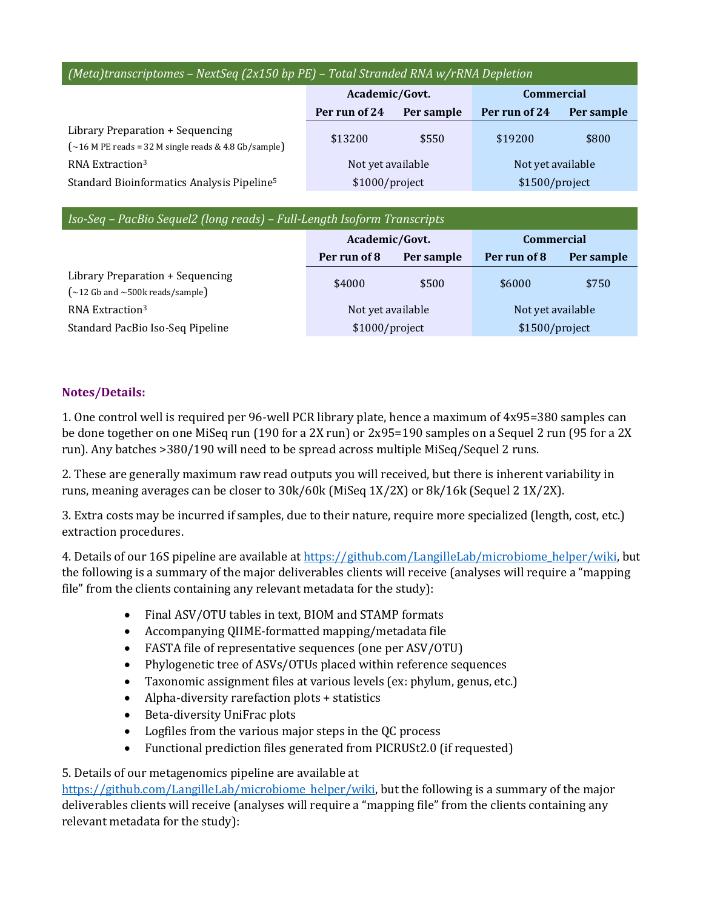### *(Meta)transcriptomes – NextSeq (2x150 bp PE) – Total Stranded RNA w/rRNA Depletion*

|                                                                                                      | Academic/Govt.    |            | <b>Commercial</b> |            |
|------------------------------------------------------------------------------------------------------|-------------------|------------|-------------------|------------|
|                                                                                                      | Per run of 24     | Per sample | Per run of 24     | Per sample |
| Library Preparation + Sequencing<br>$\left(\sim\!16$ M PE reads = 32 M single reads & 4.8 Gb/sample) | \$13200           | \$550      | \$19200           | \$800      |
| RNA Extraction <sup>3</sup>                                                                          | Not yet available |            | Not yet available |            |
| Standard Bioinformatics Analysis Pipeline <sup>5</sup>                                               | \$1000/project    |            | \$1500/project    |            |

| Iso-Seq - PacBio Sequel2 (long reads) - Full-Length Isoform Transcripts                 |                   |            |                   |            |
|-----------------------------------------------------------------------------------------|-------------------|------------|-------------------|------------|
|                                                                                         | Academic/Govt.    |            | <b>Commercial</b> |            |
|                                                                                         | Per run of 8      | Per sample | Per run of 8      | Per sample |
| Library Preparation + Sequencing<br>$\left(\sim\!12$ Gb and $\sim\!500$ k reads/sample) | \$4000            | \$500      | \$6000            | \$750      |
| RNA Extraction <sup>3</sup>                                                             | Not yet available |            | Not yet available |            |
| Standard PacBio Iso-Seq Pipeline                                                        | \$1000/project    |            | \$1500/project    |            |

### **Notes/Details:**

1. One control well is required per 96-well PCR library plate, hence a maximum of 4x95=380 samples can be done together on one MiSeq run (190 for a 2X run) or 2x95=190 samples on a Sequel 2 run (95 for a 2X run). Any batches >380/190 will need to be spread across multiple MiSeq/Sequel 2 runs.

2. These are generally maximum raw read outputs you will received, but there is inherent variability in runs, meaning averages can be closer to 30k/60k (MiSeq 1X/2X) or 8k/16k (Sequel 2 1X/2X).

3. Extra costs may be incurred if samples, due to their nature, require more specialized (length, cost, etc.) extraction procedures.

4. Details of our 16S pipeline are available a[t https://github.com/LangilleLab/microbiome\\_helper/wiki,](https://github.com/LangilleLab/microbiome_helper/wiki) but the following is a summary of the major deliverables clients will receive (analyses will require a "mapping file" from the clients containing any relevant metadata for the study):

- Final ASV/OTU tables in text, BIOM and STAMP formats
- Accompanying QIIME-formatted mapping/metadata file
- FASTA file of representative sequences (one per ASV/OTU)
- Phylogenetic tree of ASVs/OTUs placed within reference sequences
- Taxonomic assignment files at various levels (ex: phylum, genus, etc.)
- Alpha-diversity rarefaction plots + statistics
- Beta-diversity UniFrac plots
- Logfiles from the various major steps in the QC process
- Functional prediction files generated from PICRUSt2.0 (if requested)

### 5. Details of our metagenomics pipeline are available at

[https://github.com/LangilleLab/microbiome\\_helper/w](https://github.com/LangilleLab/microbiome_helper/)iki, but the following is a summary of the major deliverables clients will receive (analyses will require a "mapping file" from the clients containing any relevant metadata for the study):